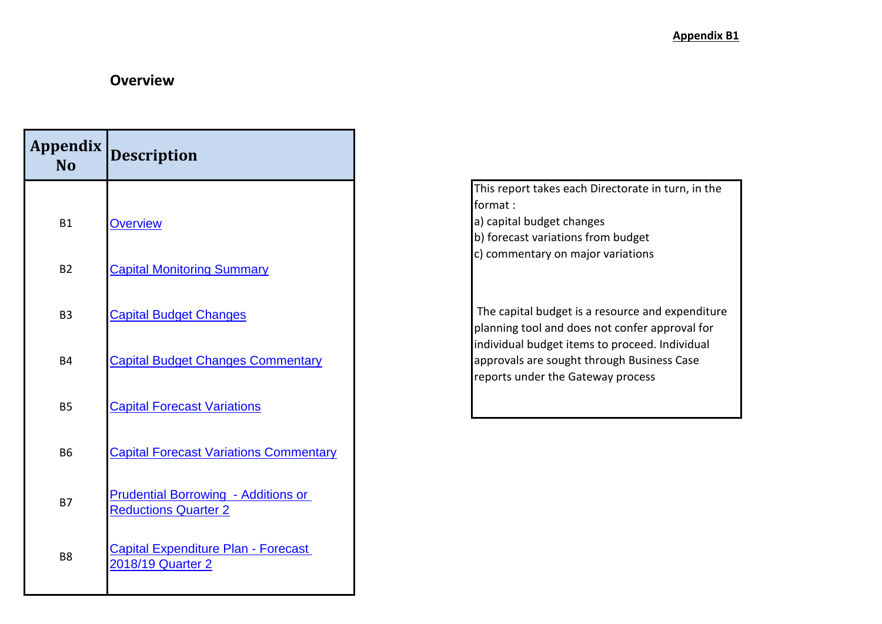### **Overview**

| <b>Appendix</b><br><b>No</b> | <b>Description</b>                                                        |
|------------------------------|---------------------------------------------------------------------------|
|                              |                                                                           |
| B <sub>1</sub>               | <b>Overview</b>                                                           |
| <b>B2</b>                    | <b>Capital Monitoring Summary</b>                                         |
| B <sub>3</sub>               | <b>Capital Budget Changes</b>                                             |
| B4                           | <b>Capital Budget Changes Commentary</b>                                  |
| <b>B5</b>                    | <b>Capital Forecast Variations</b>                                        |
| <b>B6</b>                    | <b>Capital Forecast Variations Commentary</b>                             |
| <b>B7</b>                    | <b>Prudential Borrowing - Additions or</b><br><b>Reductions Quarter 2</b> |
| B <sub>8</sub>               | <b>Capital Expenditure Plan - Forecast</b><br>2018/19 Quarter 2           |

This report takes each Directorate in turn, in the format : a) capital budget changes b) forecast variations from budget

c) commentary on major variations

 The capital budget is a resource and expenditure planning tool and does not confer approval for individual budget items to proceed. Individual approvals are sought through Business Case reports under the Gateway process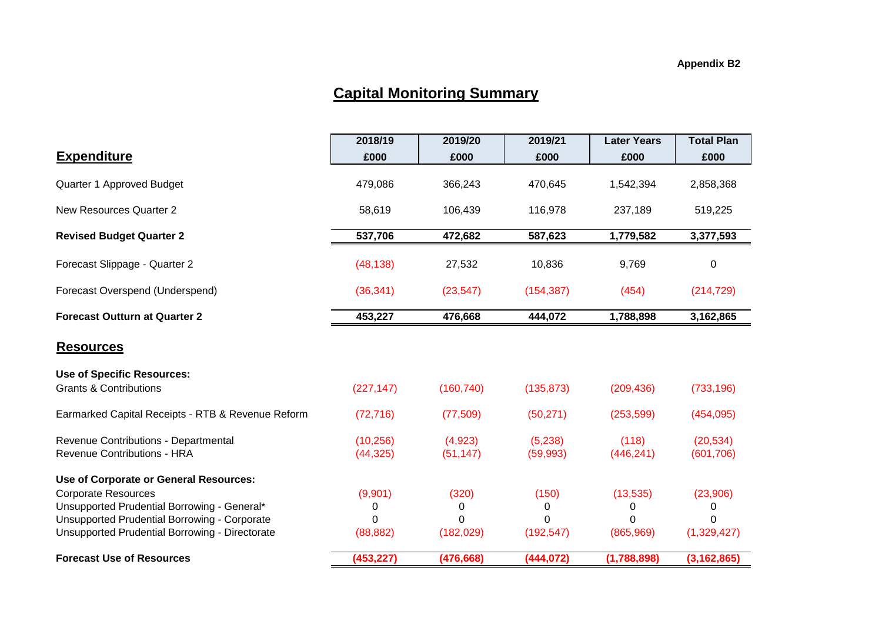### **Capital Monitoring Summary**

|                                                                            | 2018/19                | 2019/20              | 2019/21              | <b>Later Years</b>  | <b>Total Plan</b>       |
|----------------------------------------------------------------------------|------------------------|----------------------|----------------------|---------------------|-------------------------|
| <b>Expenditure</b>                                                         | £000                   | £000                 | £000                 | £000                | £000                    |
| Quarter 1 Approved Budget                                                  | 479,086                | 366,243              | 470,645              | 1,542,394           | 2,858,368               |
| New Resources Quarter 2                                                    | 58,619                 | 106,439              | 116,978              | 237,189             | 519,225                 |
| <b>Revised Budget Quarter 2</b>                                            | 537,706                | 472,682              | 587,623              | 1,779,582           | 3,377,593               |
| Forecast Slippage - Quarter 2                                              | (48, 138)              | 27,532               | 10,836               | 9,769               | $\mathbf 0$             |
| Forecast Overspend (Underspend)                                            | (36, 341)              | (23, 547)            | (154, 387)           | (454)               | (214, 729)              |
| <b>Forecast Outturn at Quarter 2</b>                                       | 453,227                | 476,668              | 444,072              | 1,788,898           | 3,162,865               |
| <b>Resources</b>                                                           |                        |                      |                      |                     |                         |
| <b>Use of Specific Resources:</b><br><b>Grants &amp; Contributions</b>     | (227, 147)             | (160, 740)           | (135, 873)           | (209, 436)          | (733, 196)              |
| Earmarked Capital Receipts - RTB & Revenue Reform                          | (72, 716)              | (77, 509)            | (50, 271)            | (253, 599)          | (454, 095)              |
| Revenue Contributions - Departmental<br><b>Revenue Contributions - HRA</b> | (10, 256)<br>(44, 325) | (4,923)<br>(51, 147) | (5,238)<br>(59, 993) | (118)<br>(446, 241) | (20, 534)<br>(601, 706) |
| Use of Corporate or General Resources:                                     |                        |                      |                      |                     |                         |
| <b>Corporate Resources</b>                                                 | (9,901)                | (320)                | (150)                | (13, 535)           | (23,906)                |
| Unsupported Prudential Borrowing - General*                                | 0                      | 0                    | 0                    | 0                   | 0                       |
| <b>Unsupported Prudential Borrowing - Corporate</b>                        | $\Omega$               | 0                    | $\Omega$             | $\Omega$            | $\Omega$                |
| <b>Unsupported Prudential Borrowing - Directorate</b>                      | (88, 882)              | (182, 029)           | (192, 547)           | (865, 969)          | (1,329,427)             |
| <b>Forecast Use of Resources</b>                                           | (453, 227)             | (476, 668)           | (444, 072)           | (1,788,898)         | (3, 162, 865)           |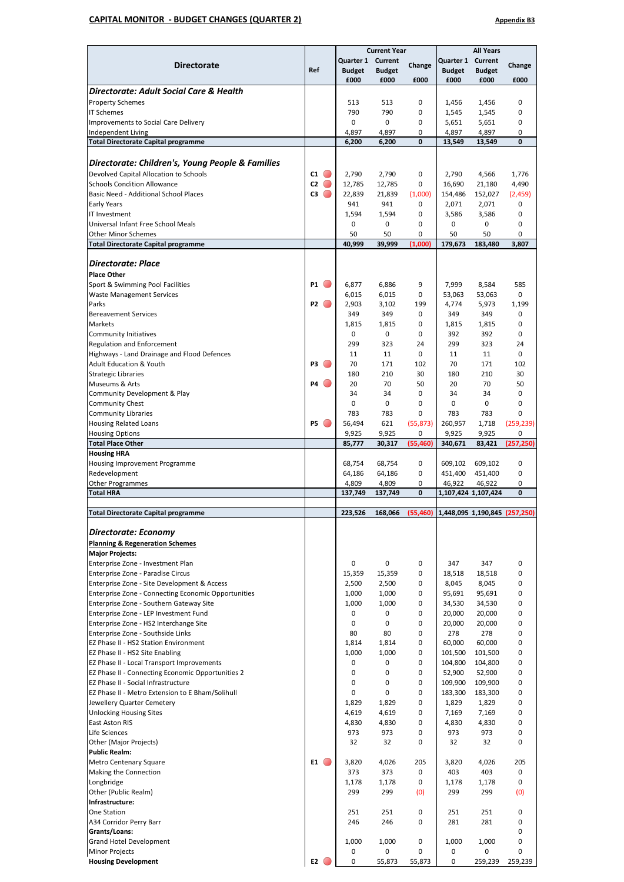#### **CAPITAL MONITOR - BUDGET CHANGES (QUARTER 2) Appendix B3**

|                                                                                                 |                        | <b>Current Year</b> |                 |                    | <b>All Years</b>  |                                                |                    |
|-------------------------------------------------------------------------------------------------|------------------------|---------------------|-----------------|--------------------|-------------------|------------------------------------------------|--------------------|
| <b>Directorate</b>                                                                              |                        | Quarter 1           | Current         | Change             | Quarter 1 Current |                                                | Change             |
|                                                                                                 | Ref                    | <b>Budget</b>       | <b>Budget</b>   |                    | <b>Budget</b>     | <b>Budget</b>                                  |                    |
| Directorate: Adult Social Care & Health                                                         |                        | £000                | £000            | £000               | £000              | £000                                           | £000               |
| <b>Property Schemes</b>                                                                         |                        | 513                 | 513             | 0                  | 1,456             | 1,456                                          | 0                  |
| <b>IT Schemes</b>                                                                               |                        | 790                 | 790             | 0                  | 1,545             | 1,545                                          | 0                  |
| Improvements to Social Care Delivery                                                            |                        | 0                   | 0               | 0                  | 5,651             | 5,651                                          | 0                  |
| Independent Living                                                                              |                        | 4,897               | 4,897           | 0                  | 4,897             | 4,897                                          | 0                  |
| <b>Total Directorate Capital programme</b>                                                      |                        | 6,200               | 6,200           | 0                  | 13,549            | 13,549                                         | 0                  |
|                                                                                                 |                        |                     |                 |                    |                   |                                                |                    |
| Directorate: Children's, Young People & Families                                                |                        |                     |                 |                    |                   |                                                |                    |
| Devolved Capital Allocation to Schools                                                          | $c_1$ $\bullet$        | 2,790               | 2,790           | 0                  | 2,790             | 4,566                                          | 1,776              |
| <b>Schools Condition Allowance</b><br>Basic Need - Additional School Places                     | C2<br>$\bigcirc$<br>C3 | 12,785              | 12,785          | 0                  | 16,690            | 21,180                                         | 4,490              |
| <b>Early Years</b>                                                                              |                        | 22,839<br>941       | 21,839<br>941   | (1,000)<br>0       | 154,486<br>2,071  | 152,027<br>2,071                               | (2, 459)<br>0      |
| IT Investment                                                                                   |                        | 1,594               | 1,594           | 0                  | 3,586             | 3,586                                          | 0                  |
| Universal Infant Free School Meals                                                              |                        | 0                   | $\mathbf 0$     | 0                  | 0                 | 0                                              | 0                  |
| <b>Other Minor Schemes</b>                                                                      |                        | 50                  | 50              | 0                  | 50                | 50                                             | 0                  |
| <b>Total Directorate Capital programme</b>                                                      |                        | 40,999              | 39,999          | (1,000)            | 179,673           | 183,480                                        | 3,807              |
|                                                                                                 |                        |                     |                 |                    |                   |                                                |                    |
| <b>Directorate: Place</b><br><b>Place Other</b>                                                 |                        |                     |                 |                    |                   |                                                |                    |
| Sport & Swimming Pool Facilities                                                                | <b>P1</b>              | 6,877               | 6,886           | 9                  | 7,999             | 8,584                                          | 585                |
| <b>Waste Management Services</b>                                                                |                        | 6,015               | 6,015           | 0                  | 53,063            | 53,063                                         | 0                  |
| Parks                                                                                           | P2                     | 2,903               | 3,102           | 199                | 4,774             | 5,973                                          | 1,199              |
| <b>Bereavement Services</b>                                                                     |                        | 349                 | 349             | 0                  | 349               | 349                                            | 0                  |
| <b>Markets</b>                                                                                  |                        | 1,815               | 1,815           | 0                  | 1,815             | 1,815                                          | $\mathbf 0$        |
| <b>Community Initiatives</b>                                                                    |                        | 0                   | 0               | 0                  | 392               | 392                                            | 0                  |
| <b>Regulation and Enforcement</b>                                                               |                        | 299                 | 323             | 24                 | 299               | 323                                            | 24                 |
| Highways - Land Drainage and Flood Defences<br><b>Adult Education &amp; Youth</b>               | P3                     | 11<br>70            | 11<br>171       | $\mathbf 0$<br>102 | 11<br>70          | 11<br>171                                      | $\mathbf 0$<br>102 |
| <b>Strategic Libraries</b>                                                                      |                        | 180                 | 210             | 30                 | 180               | 210                                            | 30                 |
| Museums & Arts                                                                                  | P4<br>$\overline{(\ }$ | 20                  | 70              | 50                 | 20                | 70                                             | 50                 |
| Community Development & Play                                                                    |                        | 34                  | 34              | 0                  | 34                | 34                                             | 0                  |
| <b>Community Chest</b>                                                                          |                        | 0                   | 0               | 0                  | 0                 | 0                                              | 0                  |
| <b>Community Libraries</b>                                                                      |                        | 783                 | 783             | 0                  | 783               | 783                                            | 0                  |
| <b>Housing Related Loans</b>                                                                    | <b>P5</b>              | 56,494              | 621             | (55, 873)          | 260,957           | 1,718                                          | (259, 239)         |
| <b>Housing Options</b><br><b>Total Place Other</b>                                              |                        | 9,925<br>85,777     | 9,925<br>30,317 | 0<br>(55, 460)     | 9,925<br>340,671  | 9,925<br>83,421                                | 0<br>(257, 250)    |
| <b>Housing HRA</b>                                                                              |                        |                     |                 |                    |                   |                                                |                    |
| Housing Improvement Programme                                                                   |                        | 68,754              | 68,754          | 0                  | 609,102           | 609,102                                        | 0                  |
| Redevelopment                                                                                   |                        | 64,186              | 64,186          | 0                  | 451,400           | 451,400                                        | 0                  |
| <b>Other Programmes</b>                                                                         |                        | 4,809               | 4,809           | 0                  | 46,922            | 46,922                                         | 0                  |
| <b>Total HRA</b>                                                                                |                        | 137,749             | 137,749         | 0                  |                   | 1,107,424 1,107,424                            | 0                  |
| <b>Total Directorate Capital programme</b>                                                      |                        | 223,526             |                 |                    |                   | 168,066 (55,460) 1,448,095 1,190,845 (257,250) |                    |
|                                                                                                 |                        |                     |                 |                    |                   |                                                |                    |
| <b>Directorate: Economy</b>                                                                     |                        |                     |                 |                    |                   |                                                |                    |
| <b>Planning &amp; Regeneration Schemes</b>                                                      |                        |                     |                 |                    |                   |                                                |                    |
| <b>Major Projects:</b>                                                                          |                        |                     |                 |                    |                   |                                                |                    |
| Enterprise Zone - Investment Plan                                                               |                        | 0                   | 0               | 0                  | 347               | 347                                            | 0                  |
| Enterprise Zone - Paradise Circus<br>Enterprise Zone - Site Development & Access                |                        | 15,359<br>2,500     | 15,359<br>2,500 | 0<br>0             | 18,518<br>8,045   | 18,518<br>8,045                                | 0<br>0             |
| Enterprise Zone - Connecting Economic Opportunities                                             |                        | 1,000               | 1,000           | 0                  | 95,691            | 95,691                                         | 0                  |
| Enterprise Zone - Southern Gateway Site                                                         |                        | 1,000               | 1,000           | 0                  | 34,530            | 34,530                                         | 0                  |
| Enterprise Zone - LEP Investment Fund                                                           |                        | 0                   | 0               | 0                  | 20,000            | 20,000                                         | 0                  |
| Enterprise Zone - HS2 Interchange Site                                                          |                        | 0                   | 0               | 0                  | 20,000            | 20,000                                         | 0                  |
| Enterprise Zone - Southside Links                                                               |                        | 80                  | 80              | 0                  | 278               | 278                                            | 0                  |
| EZ Phase II - HS2 Station Environment                                                           |                        | 1,814               | 1,814           | 0                  | 60,000            | 60,000                                         | 0                  |
| EZ Phase II - HS2 Site Enabling                                                                 |                        | 1,000               | 1,000<br>0      | 0<br>0             | 101,500           | 101,500                                        | 0<br>0             |
| EZ Phase II - Local Transport Improvements<br>EZ Phase II - Connecting Economic Opportunities 2 |                        | 0<br>0              | 0               | 0                  | 104,800<br>52,900 | 104,800<br>52,900                              | 0                  |
| EZ Phase II - Social Infrastructure                                                             |                        | 0                   | 0               | 0                  | 109,900           | 109,900                                        | 0                  |
| EZ Phase II - Metro Extension to E Bham/Solihull                                                |                        | 0                   | $\mathbf 0$     | 0                  | 183,300           | 183,300                                        | 0                  |
| Jewellery Quarter Cemetery                                                                      |                        | 1,829               | 1,829           | 0                  | 1,829             | 1,829                                          | 0                  |
| <b>Unlocking Housing Sites</b>                                                                  |                        | 4,619               | 4,619           | 0                  | 7,169             | 7,169                                          | 0                  |
| East Aston RIS                                                                                  |                        | 4,830               | 4,830           | 0                  | 4,830             | 4,830                                          | 0                  |
| Life Sciences                                                                                   |                        | 973                 | 973             | 0                  | 973               | 973                                            | 0                  |
| Other (Major Projects)<br><b>Public Realm:</b>                                                  |                        | 32                  | 32              | 0                  | 32                | 32                                             | 0                  |
| <b>Metro Centenary Square</b>                                                                   | $E1$ $\bigcirc$        | 3,820               | 4,026           | 205                | 3,820             | 4,026                                          | 205                |
| Making the Connection                                                                           |                        | 373                 | 373             | 0                  | 403               | 403                                            | 0                  |
| Longbridge                                                                                      |                        | 1,178               | 1,178           | 0                  | 1,178             | 1,178                                          | 0                  |
| Other (Public Realm)                                                                            |                        | 299                 | 299             | (0)                | 299               | 299                                            | (0)                |
| Infrastructure:                                                                                 |                        |                     |                 |                    |                   |                                                |                    |
| <b>One Station</b>                                                                              |                        |                     |                 |                    |                   |                                                |                    |
|                                                                                                 |                        | 251                 | 251             | 0                  | 251               | 251                                            | 0                  |
| A34 Corridor Perry Barr                                                                         |                        | 246                 | 246             | 0                  | 281               | 281                                            | 0                  |
| Grants/Loans:                                                                                   |                        |                     |                 |                    |                   |                                                | 0<br>0             |
| <b>Grand Hotel Development</b><br><b>Minor Projects</b>                                         |                        | 1,000<br>0          | 1,000<br>0      | 0<br>0             | 1,000<br>0        | 1,000<br>0                                     | 0                  |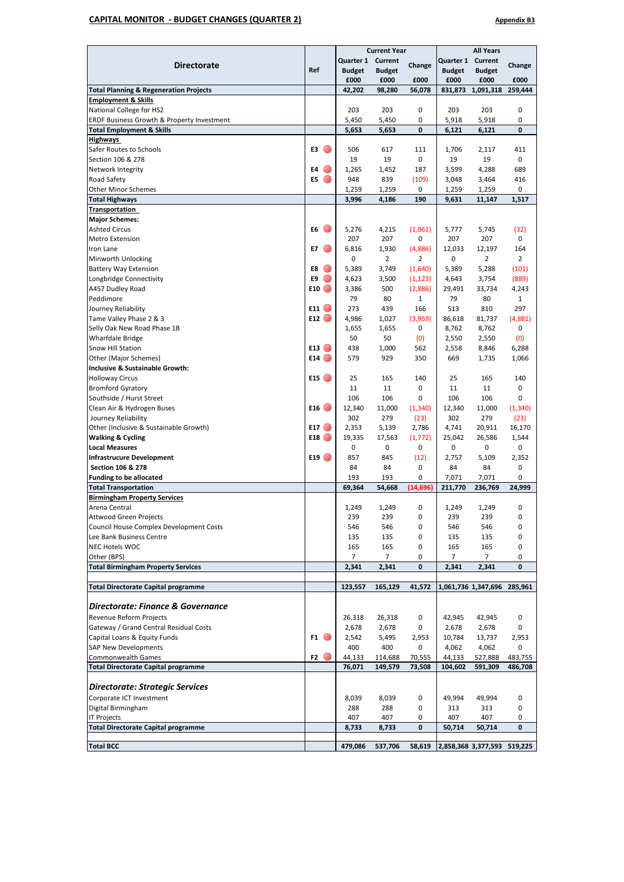#### **CAPITAL MONITOR - BUDGET CHANGES (QUARTER 2) Appendix B3**

|                                                   |                                                     | <b>Current Year</b> |                |           | <b>All Years</b> |                             |                |  |
|---------------------------------------------------|-----------------------------------------------------|---------------------|----------------|-----------|------------------|-----------------------------|----------------|--|
|                                                   |                                                     | Quarter 1           | Current        |           | Quarter 1        | Current                     |                |  |
| <b>Directorate</b>                                | Ref                                                 | <b>Budget</b>       | <b>Budget</b>  | Change    | <b>Budget</b>    | <b>Budget</b>               | Change         |  |
|                                                   |                                                     | £000                | £000           | £000      | £000             | £000                        | £000           |  |
| <b>Total Planning &amp; Regeneration Projects</b> |                                                     | 42,202              | 98,280         | 56,078    | 831,873          | 1,091,318                   | 259,444        |  |
| <b>Employment &amp; Skills</b>                    |                                                     |                     |                |           |                  |                             |                |  |
| National College for HS2                          |                                                     | 203                 | 203            | 0         | 203              | 203                         | 0              |  |
| ERDF Business Growth & Property Investment        |                                                     | 5,450               | 5,450          | 0         | 5,918            | 5,918                       | 0              |  |
| <b>Total Employment &amp; Skills</b>              |                                                     | 5,653               | 5,653          | 0         | 6,121            | 6,121                       | 0              |  |
| <b>Highways</b>                                   |                                                     |                     |                |           |                  |                             |                |  |
| Safer Routes to Schools                           | E3<br>$\left( \begin{array}{c} \end{array} \right)$ | 506                 | 617            | 111       | 1,706            | 2,117                       | 411            |  |
| Section 106 & 278                                 |                                                     | 19                  | 19             | 0         | 19               | 19                          | 0              |  |
| Network Integrity                                 | E4                                                  | 1,265               | 1,452          | 187       | 3,599            | 4,288                       | 689            |  |
|                                                   | E5<br>$\bigcirc$                                    |                     |                |           |                  |                             |                |  |
| Road Safety                                       |                                                     | 948                 | 839            | (109)     | 3,048            | 3,464                       | 416            |  |
| <b>Other Minor Schemes</b>                        |                                                     | 1,259               | 1,259          | 0         | 1,259            | 1,259                       | 0              |  |
| <b>Total Highways</b>                             |                                                     | 3,996               | 4,186          | 190       | 9,631            | 11,147                      | 1,517          |  |
| <b>Transportation</b>                             |                                                     |                     |                |           |                  |                             |                |  |
| <b>Major Schemes:</b>                             |                                                     |                     |                |           |                  |                             |                |  |
| <b>Ashted Circus</b>                              | E6                                                  | 5,276               | 4,215          | (1,061)   | 5,777            | 5,745                       | (32)           |  |
| <b>Metro Extension</b>                            |                                                     | 207                 | 207            | 0         | 207              | 207                         | 0              |  |
| Iron Lane                                         | $\bigcirc$<br>E7                                    | 6,816               | 1,930          | (4,886)   | 12,033           | 12,197                      | 164            |  |
| Minworth Unlocking                                |                                                     | 0                   | $\overline{2}$ | 2         | 0                | 2                           | $\overline{2}$ |  |
| <b>Battery Way Extension</b>                      | E8                                                  | 5,389               | 3,749          | (1,640)   | 5,389            | 5,288                       | (101)          |  |
| Longbridge Connectivity                           | E9<br>$\bigcirc$                                    | 4,623               | 3,500          | (1, 123)  | 4,643            | 3,754                       | (889)          |  |
| A457 Dudley Road                                  | E10                                                 | 3,386               | 500            | (2,886)   | 29,491           | 33,734                      | 4,243          |  |
| Peddimore                                         |                                                     | 79                  | 80             | 1         | 79               | 80                          | 1              |  |
| Journey Reliability                               | $E11$ $\odot$                                       | 273                 | 439            | 166       | 513              | 810                         | 297            |  |
| Tame Valley Phase 2 & 3                           | E12                                                 | 4,986               | 1,027          | (3,959)   | 86,618           | 81,737                      | (4,881)        |  |
| Selly Oak New Road Phase 1B                       |                                                     | 1,655               | 1,655          | 0         | 8,762            | 8,762                       | 0              |  |
| <b>Wharfdale Bridge</b>                           |                                                     | 50                  | 50             | (0)       | 2,550            | 2,550                       | (0)            |  |
| <b>Snow Hill Station</b>                          | E13                                                 | 438                 | 1,000          | 562       | 2,558            | 8,846                       | 6,288          |  |
| Other (Major Schemes)                             | E14                                                 | 579                 | 929            | 350       | 669              | 1,735                       | 1,066          |  |
| Inclusive & Sustainable Growth:                   |                                                     |                     |                |           |                  |                             |                |  |
| <b>Holloway Circus</b>                            | E15                                                 | 25                  | 165            | 140       | 25               | 165                         | 140            |  |
| <b>Bromford Gyratory</b>                          |                                                     | 11                  | 11             | 0         | 11               | 11                          | 0              |  |
| Southside / Hurst Street                          |                                                     | 106                 | 106            | 0         | 106              | 106                         | 0              |  |
|                                                   | E16                                                 |                     |                |           |                  |                             |                |  |
| Clean Air & Hydrogen Buses                        |                                                     | 12,340              | 11,000         | (1, 340)  | 12,340           | 11,000                      | (1, 340)       |  |
| Journey Reliability                               |                                                     | 302                 | 279            | (23)      | 302              | 279                         | (23)           |  |
| Other (Inclusive & Sustainable Growth)            | E17 $\bigcirc$                                      | 2,353               | 5,139          | 2,786     | 4,741            | 20,911                      | 16,170         |  |
| <b>Walking &amp; Cycling</b>                      | E18                                                 | 19,335              | 17,563         | (1, 772)  | 25,042           | 26,586                      | 1,544          |  |
| <b>Local Measures</b>                             |                                                     | 0                   | 0              | 0         | 0                | 0                           | 0              |  |
| <b>Infrastrucure Development</b>                  | E19                                                 | 857                 | 845            | (12)      | 2,757            | 5,109                       | 2,352          |  |
| <b>Section 106 &amp; 278</b>                      |                                                     | 84                  | 84             | 0         | 84               | 84                          | 0              |  |
| <b>Funding to be allocated</b>                    |                                                     | 193                 | 193            | 0         | 7,071            | 7,071                       | 0              |  |
| <b>Total Transportation</b>                       |                                                     | 69,364              | 54,668         | (14, 696) | 211,770          | 236,769                     | 24,999         |  |
| <b>Birmingham Property Services</b>               |                                                     |                     |                |           |                  |                             |                |  |
| Arena Central                                     |                                                     | 1,249               | 1.249          | 0         | 1.249            | 1.249                       | 0              |  |
| Attwood Green Projects                            |                                                     | 239                 | 239            | 0         | 239              | 239                         | 0              |  |
| Council House Complex Development Costs           |                                                     | 546                 | 546            | 0         | 546              | 546                         | 0              |  |
| Lee Bank Business Centre                          |                                                     | 135                 | 135            | 0         | 135              | 135                         | 0              |  |
| <b>NEC Hotels WOC</b>                             |                                                     | 165                 | 165            | 0         | 165              | 165                         | 0              |  |
| Other (BPS)                                       |                                                     | 7                   | 7              | 0         | 7                | 7                           | 0              |  |
| <b>Total Birmingham Property Services</b>         |                                                     | 2,341               | 2,341          | 0         | 2,341            | 2,341                       | 0              |  |
| <b>Total Directorate Capital programme</b>        |                                                     | 123,557             | 165,129        | 41,572    |                  | 1,061,736 1,347,696         | 285,961        |  |
|                                                   |                                                     |                     |                |           |                  |                             |                |  |
| Directorate: Finance & Governance                 |                                                     |                     |                |           |                  |                             |                |  |
| <b>Revenue Reform Projects</b>                    |                                                     | 26,318              | 26,318         | 0         | 42,945           | 42,945                      | 0              |  |
| Gateway / Grand Central Residual Costs            |                                                     | 2,678               | 2,678          | 0         | 2,678            | 2,678                       | 0              |  |
| Capital Loans & Equity Funds                      | F1.                                                 | 2,542               | 5,495          | 2,953     | 10,784           | 13,737                      | 2,953          |  |
| <b>SAP New Developments</b>                       |                                                     | 400                 | 400            | 0         | 4,062            | 4,062                       | 0              |  |
| <b>Commonwealth Games</b>                         | F2                                                  | 44,133              | 114,688        | 70,555    | 44,133           | 527,888                     | 483,755        |  |
| <b>Total Directorate Capital programme</b>        |                                                     | 76,071              | 149,579        | 73,508    | 104,602          | 591,309                     | 486,708        |  |
|                                                   |                                                     |                     |                |           |                  |                             |                |  |
| <b>Directorate: Strategic Services</b>            |                                                     |                     |                |           |                  |                             |                |  |
| Corporate ICT Investment                          |                                                     | 8,039               | 8,039          | 0         | 49,994           | 49,994                      | 0              |  |
| Digital Birmingham                                |                                                     | 288                 | 288            | 0         | 313              | 313                         | 0              |  |
| <b>IT Projects</b>                                |                                                     | 407                 | 407            | 0         | 407              | 407                         | 0              |  |
| <b>Total Directorate Capital programme</b>        |                                                     | 8,733               | 8,733          | 0         | 50,714           | 50,714                      | 0              |  |
|                                                   |                                                     |                     |                |           |                  |                             |                |  |
| <b>Total BCC</b>                                  |                                                     | 479,086             | 537,706        | 58,619    |                  | 2,858,368 3,377,593 519,225 |                |  |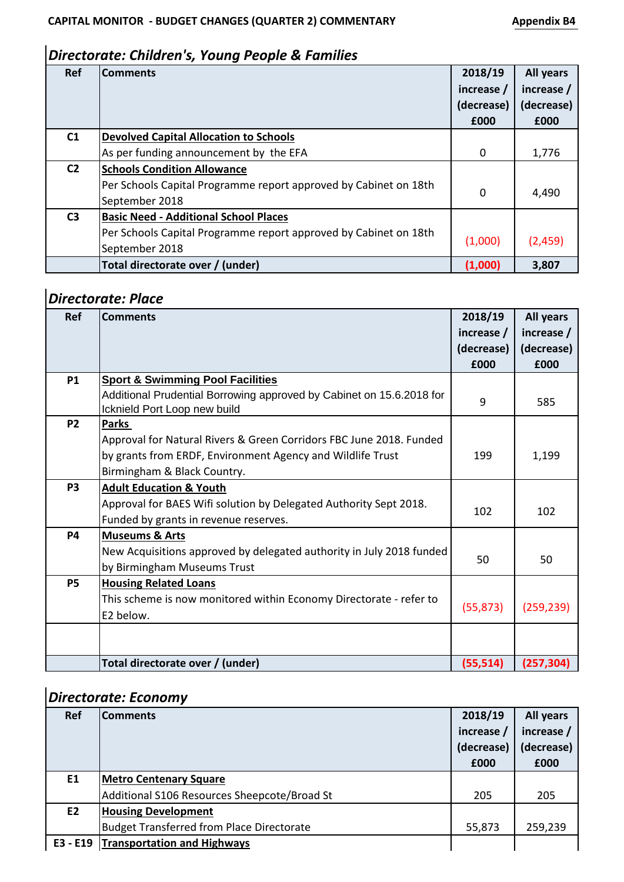### *Directorate: Children's, Young People & Families*

| Ref            | <b>Comments</b>                                                  | 2018/19      | <b>All years</b> |
|----------------|------------------------------------------------------------------|--------------|------------------|
|                |                                                                  | increase /   | increase /       |
|                |                                                                  | (decrease)   | (decrease)       |
|                |                                                                  | £000         | £000             |
| C1             | <b>Devolved Capital Allocation to Schools</b>                    |              |                  |
|                | As per funding announcement by the EFA                           | $\mathbf{0}$ | 1,776            |
| C <sub>2</sub> | <b>Schools Condition Allowance</b>                               |              |                  |
|                | Per Schools Capital Programme report approved by Cabinet on 18th | $\Omega$     | 4,490            |
|                | September 2018                                                   |              |                  |
| C <sub>3</sub> | <b>Basic Need - Additional School Places</b>                     |              |                  |
|                | Per Schools Capital Programme report approved by Cabinet on 18th |              |                  |
|                | September 2018                                                   | (1,000)      | (2,459)          |
|                | Total directorate over / (under)                                 | (1,000)      | 3,807            |

# *Directorate: Place*

| <b>Ref</b>     | <b>Comments</b>                                                      | 2018/19    | All years  |
|----------------|----------------------------------------------------------------------|------------|------------|
|                |                                                                      | increase / | increase / |
|                |                                                                      | (decrease) | (decrease) |
|                |                                                                      | £000       | £000       |
| <b>P1</b>      | <b>Sport &amp; Swimming Pool Facilities</b>                          |            |            |
|                | Additional Prudential Borrowing approved by Cabinet on 15.6.2018 for | 9          | 585        |
|                | Icknield Port Loop new build                                         |            |            |
| <b>P2</b>      | <b>Parks</b>                                                         |            |            |
|                | Approval for Natural Rivers & Green Corridors FBC June 2018. Funded  |            |            |
|                | by grants from ERDF, Environment Agency and Wildlife Trust           | 199        | 1,199      |
|                | Birmingham & Black Country.                                          |            |            |
| P <sub>3</sub> | <b>Adult Education &amp; Youth</b>                                   |            |            |
|                | Approval for BAES Wifi solution by Delegated Authority Sept 2018.    | 102        |            |
|                | Funded by grants in revenue reserves.                                |            | 102        |
| <b>P4</b>      | <b>Museums &amp; Arts</b>                                            |            |            |
|                | New Acquisitions approved by delegated authority in July 2018 funded |            |            |
|                | by Birmingham Museums Trust                                          | 50         | 50         |
| <b>P5</b>      | <b>Housing Related Loans</b>                                         |            |            |
|                | This scheme is now monitored within Economy Directorate - refer to   |            |            |
|                | E2 below.                                                            | (55, 873)  | (259, 239) |
|                |                                                                      |            |            |
|                |                                                                      |            |            |
|                | Total directorate over / (under)                                     | (55, 514)  | (257, 304) |

### *Directorate: Economy*

| Ref | <b>Comments</b>                                  | 2018/19<br>increase /<br>(decrease)<br>£000 | All years<br>increase /<br>(decrease)<br>£000 |
|-----|--------------------------------------------------|---------------------------------------------|-----------------------------------------------|
| E1  | <b>Metro Centenary Square</b>                    |                                             |                                               |
|     | Additional S106 Resources Sheepcote/Broad St     | 205                                         | 205                                           |
| E2  | <b>Housing Development</b>                       |                                             |                                               |
|     | <b>Budget Transferred from Place Directorate</b> | 55,873                                      | 259,239                                       |
|     | E3 - E19 Transportation and Highways             |                                             |                                               |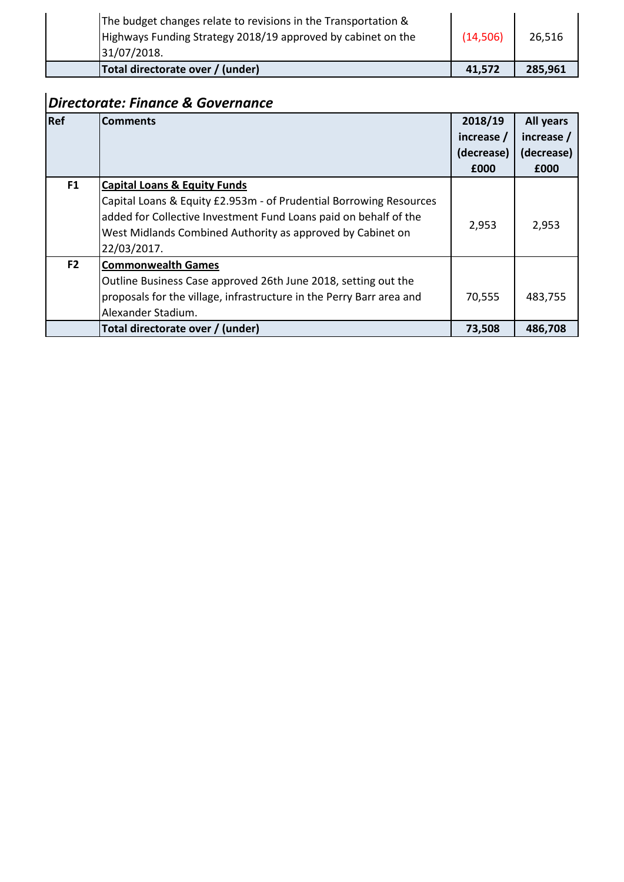| Total directorate over / (under)                               | 41,572   | 285,961 |
|----------------------------------------------------------------|----------|---------|
| 31/07/2018.                                                    |          |         |
| Highways Funding Strategy 2018/19 approved by cabinet on the   | (14,506) | 26,516  |
| The budget changes relate to revisions in the Transportation & |          |         |

# *Directorate: Finance & Governance*

| Ref            | <b>Comments</b>                                                      | 2018/19    | All years  |
|----------------|----------------------------------------------------------------------|------------|------------|
|                |                                                                      | increase / | increase / |
|                |                                                                      | (decrease) | (decrease) |
|                |                                                                      | £000       | £000       |
| F1             | <b>Capital Loans &amp; Equity Funds</b>                              |            |            |
|                | Capital Loans & Equity £2.953m - of Prudential Borrowing Resources   |            |            |
|                | added for Collective Investment Fund Loans paid on behalf of the     | 2,953      | 2,953      |
|                | West Midlands Combined Authority as approved by Cabinet on           |            |            |
|                | 22/03/2017.                                                          |            |            |
| F <sub>2</sub> | <b>Commonwealth Games</b>                                            |            |            |
|                | Outline Business Case approved 26th June 2018, setting out the       |            |            |
|                | proposals for the village, infrastructure in the Perry Barr area and | 70,555     | 483,755    |
|                | Alexander Stadium.                                                   |            |            |
|                | Total directorate over / (under)                                     | 73,508     | 486,708    |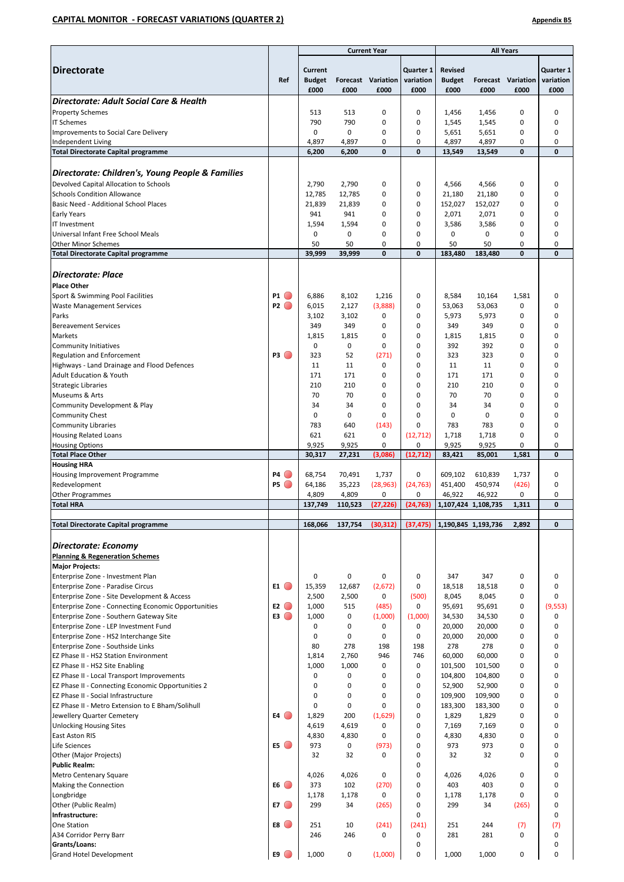#### **CAPITAL MONITOR - FORECAST VARIATIONS (QUARTER 2) Appendix B5**

|                                                                                              |                      |                                  |             | <b>Current Year</b>        |                                |                                         |                     | <b>All Years</b>                  |                                |
|----------------------------------------------------------------------------------------------|----------------------|----------------------------------|-------------|----------------------------|--------------------------------|-----------------------------------------|---------------------|-----------------------------------|--------------------------------|
| <b>Directorate</b>                                                                           | Ref                  | Current<br><b>Budget</b><br>£000 | £000        | Forecast Variation<br>£000 | Quarter 1<br>variation<br>£000 | <b>Revised</b><br><b>Budget</b><br>£000 | £000                | <b>Forecast Variation</b><br>£000 | Quarter 1<br>variation<br>£000 |
| Directorate: Adult Social Care & Health                                                      |                      |                                  |             |                            |                                |                                         |                     |                                   |                                |
| <b>Property Schemes</b>                                                                      |                      | 513                              | 513         | 0                          | 0                              | 1,456                                   | 1,456               | 0                                 | 0                              |
| <b>IT Schemes</b>                                                                            |                      | 790                              | 790         | $\mathbf 0$                | 0                              | 1,545                                   | 1,545               | 0                                 | 0                              |
| Improvements to Social Care Delivery                                                         |                      | $\mathbf 0$                      | 0           | 0                          | 0                              | 5,651                                   | 5,651               | 0                                 | 0                              |
| Independent Living                                                                           |                      | 4,897                            | 4,897       | 0                          | 0                              | 4,897                                   | 4,897               | 0                                 | $\mathbf 0$                    |
| <b>Total Directorate Capital programme</b>                                                   |                      | 6,200                            | 6,200       | $\mathbf{0}$               | 0                              | 13,549                                  | 13,549              | 0                                 | $\mathbf 0$                    |
|                                                                                              |                      |                                  |             |                            |                                |                                         |                     |                                   |                                |
| Directorate: Children's, Young People & Families                                             |                      |                                  |             |                            |                                |                                         |                     |                                   |                                |
|                                                                                              |                      |                                  |             |                            |                                |                                         |                     |                                   |                                |
| Devolved Capital Allocation to Schools                                                       |                      | 2,790                            | 2,790       | 0                          | 0                              | 4,566                                   | 4,566               | 0                                 | 0                              |
| <b>Schools Condition Allowance</b>                                                           |                      | 12,785                           | 12,785      | 0                          | 0                              | 21,180                                  | 21,180              | 0                                 | 0                              |
| Basic Need - Additional School Places                                                        |                      | 21,839                           | 21,839      | 0                          | 0                              | 152,027                                 | 152,027             | 0                                 | 0                              |
| <b>Early Years</b>                                                                           |                      | 941                              | 941         | 0                          | 0                              | 2,071                                   | 2,071               | 0                                 | 0                              |
| IT Investment                                                                                |                      | 1,594                            | 1,594       | 0                          | 0                              | 3,586                                   | 3,586               | 0                                 | 0                              |
| Universal Infant Free School Meals                                                           |                      | 0                                | 0           | 0                          | 0                              | 0                                       | $\mathbf 0$         | 0                                 | 0                              |
| <b>Other Minor Schemes</b>                                                                   |                      | 50                               | 50          | 0                          | 0                              | 50                                      | 50                  | 0                                 | $\mathbf 0$                    |
| <b>Total Directorate Capital programme</b>                                                   |                      | 39,999                           | 39.999      | $\mathbf{0}$               | $\mathbf{0}$                   | 183,480                                 | 183,480             | $\mathbf{0}$                      | $\mathbf{0}$                   |
| <b>Directorate: Place</b><br><b>Place Other</b>                                              |                      |                                  |             |                            |                                |                                         |                     |                                   |                                |
| Sport & Swimming Pool Facilities                                                             | <b>P1</b> (          | 6,886                            | 8,102       | 1,216                      | 0                              | 8,584                                   | 10,164              | 1,581                             | 0                              |
| <b>Waste Management Services</b>                                                             | P2                   | 6,015                            | 2,127       | (3,888)                    | 0                              | 53,063                                  | 53,063              | 0                                 | 0                              |
| Parks                                                                                        |                      | 3,102                            | 3,102       | 0                          | 0                              | 5,973                                   | 5,973               | 0                                 | 0                              |
| <b>Bereavement Services</b>                                                                  |                      | 349                              | 349         | 0                          | 0                              | 349                                     | 349                 | 0                                 | 0                              |
| <b>Markets</b>                                                                               |                      | 1,815                            | 1,815       | 0                          | 0                              | 1,815                                   | 1,815               | 0                                 | 0                              |
| <b>Community Initiatives</b>                                                                 |                      | $\mathbf 0$                      | 0           | 0                          | 0                              | 392                                     | 392                 | 0                                 | 0                              |
| Regulation and Enforcement                                                                   | <b>P3</b> (          | 323                              | 52          | (271)                      | 0                              | 323                                     | 323                 | 0                                 | 0                              |
| Highways - Land Drainage and Flood Defences                                                  |                      | 11                               | 11          | 0                          | 0                              | 11                                      | 11                  | 0                                 | 0                              |
| <b>Adult Education &amp; Youth</b>                                                           |                      | 171                              | 171         | 0                          | 0                              | 171                                     | 171                 | 0                                 | 0                              |
| <b>Strategic Libraries</b>                                                                   |                      | 210                              | 210         | $\mathbf 0$                | $\mathbf 0$                    | 210                                     | 210                 | 0                                 | 0                              |
| Museums & Arts                                                                               |                      | 70                               | 70          | $\mathbf 0$                | 0                              | 70                                      | 70                  | 0                                 | 0                              |
| Community Development & Play                                                                 |                      | 34                               | 34          | 0                          | 0                              | 34                                      | 34                  | 0                                 | 0                              |
| <b>Community Chest</b>                                                                       |                      | $\mathbf 0$                      | $\mathbf 0$ | $\mathbf 0$                | 0                              | $\mathbf 0$                             | 0                   | 0                                 | 0                              |
| <b>Community Libraries</b>                                                                   |                      | 783                              | 640         | (143)                      | 0                              | 783                                     | 783                 | 0                                 | 0                              |
| <b>Housing Related Loans</b>                                                                 |                      | 621                              | 621         | 0                          | (12, 712)                      | 1,718                                   | 1,718               | 0                                 | 0                              |
| <b>Housing Options</b>                                                                       |                      | 9,925                            | 9,925       | 0                          | 0                              | 9,925                                   | 9,925               | 0                                 | $\mathbf 0$                    |
| <b>Total Place Other</b>                                                                     |                      | 30,317                           | 27,231      | (3,086)                    | (12, 712)                      | 83,421                                  | 85,001              | 1,581                             | $\mathbf{0}$                   |
| <b>Housing HRA</b>                                                                           |                      |                                  |             |                            |                                |                                         |                     |                                   |                                |
| Housing Improvement Programme                                                                | <b>P4</b> (          | 68,754                           | 70,491      | 1,737                      | 0                              | 609,102                                 | 610,839             | 1,737                             | 0                              |
| Redevelopment                                                                                | P5                   | 64,186                           | 35,223      | (28, 963)                  | (24, 763)                      | 451,400                                 | 450,974             | (426)                             | 0                              |
| <b>Other Programmes</b>                                                                      |                      | 4,809                            | 4,809       | 0                          | 0                              | 46,922                                  | 46,922              | 0                                 | 0                              |
| <b>Total HRA</b>                                                                             |                      | 137,749                          | 110,523     | (27, 226)                  | (24, 763)                      |                                         | 1,107,424 1,108,735 | 1,311                             | $\mathbf 0$                    |
|                                                                                              |                      |                                  |             |                            |                                |                                         |                     |                                   |                                |
| <b>Total Directorate Capital programme</b>                                                   |                      | 168,066                          | 137,754     | (30, 312)                  | (37, 475)                      |                                         | 1,190,845 1,193,736 | 2,892                             | 0                              |
| Directorate: Economy<br><b>Planning &amp; Regeneration Schemes</b><br><b>Major Projects:</b> |                      |                                  |             |                            |                                |                                         |                     |                                   |                                |
| Enterprise Zone - Investment Plan                                                            |                      | 0                                | 0           | 0                          | 0                              | 347                                     | 347                 | 0                                 | 0                              |
| Enterprise Zone - Paradise Circus                                                            | $E1$ $\odot$         | 15,359<br>2,500                  | 12,687      | (2,672)<br>$\mathbf 0$     | 0<br>(500)                     | 18,518<br>8,045                         | 18,518              | 0<br>0                            | 0<br>0                         |
| Enterprise Zone - Site Development & Access                                                  |                      |                                  | 2,500       |                            |                                |                                         | 8,045               |                                   |                                |
| Enterprise Zone - Connecting Economic Opportunities                                          | E2<br>E3             | 1,000                            | 515         | (485)                      | 0                              | 95,691                                  | 95,691              | 0                                 | (9,553)                        |
| Enterprise Zone - Southern Gateway Site                                                      |                      | 1,000                            | 0           | (1,000)                    | (1,000)                        | 34,530                                  | 34,530              | 0                                 | 0                              |
| Enterprise Zone - LEP Investment Fund                                                        |                      | 0                                | 0<br>0      | 0<br>0                     | 0<br>0                         | 20,000                                  | 20,000              | 0                                 | $\mathbf 0$                    |
| Enterprise Zone - HS2 Interchange Site                                                       |                      | 0                                |             |                            |                                | 20,000                                  | 20,000              | 0                                 | 0                              |
| Enterprise Zone - Southside Links                                                            |                      | 80                               | 278         | 198                        | 198                            | 278                                     | 278                 | 0                                 | 0<br>0                         |
| EZ Phase II - HS2 Station Environment                                                        |                      | 1,814                            | 2,760       | 946                        | 746                            | 60,000                                  | 60,000              | 0                                 |                                |
| EZ Phase II - HS2 Site Enabling                                                              |                      | 1,000                            | 1,000       | 0                          | 0                              | 101,500                                 | 101,500             | 0                                 | 0                              |
| EZ Phase II - Local Transport Improvements                                                   |                      | 0                                | 0           | 0                          | 0                              | 104,800                                 | 104,800             | 0                                 | 0                              |
| EZ Phase II - Connecting Economic Opportunities 2                                            |                      | $\mathbf 0$                      | $\mathbf 0$ | 0                          | 0                              | 52,900                                  | 52,900              | 0                                 | 0                              |
| EZ Phase II - Social Infrastructure                                                          |                      | 0                                | 0           | 0                          | 0                              | 109,900                                 | 109,900             | 0                                 | 0                              |
| EZ Phase II - Metro Extension to E Bham/Solihull                                             |                      | 0                                | 0           | $\mathbf 0$                | 0                              | 183,300                                 | 183,300             | 0                                 | 0                              |
| Jewellery Quarter Cemetery                                                                   | E4                   | 1,829                            | 200         | (1,629)                    | 0                              | 1,829                                   | 1,829               | 0                                 | 0                              |
| <b>Unlocking Housing Sites</b>                                                               |                      | 4,619                            | 4,619       | 0                          | 0                              | 7,169                                   | 7,169               | 0                                 | $\mathbf 0$                    |
| East Aston RIS                                                                               |                      | 4,830                            | 4,830       | 0                          | 0                              | 4,830                                   | 4,830               | 0                                 | 0                              |
| Life Sciences                                                                                | E5 (                 | 973                              | 0           | (973)                      | 0                              | 973                                     | 973                 | 0                                 | $\mathbf 0$                    |
| Other (Major Projects)                                                                       |                      | 32                               | 32          | 0                          | 0                              | 32                                      | 32                  | 0                                 | 0                              |
| <b>Public Realm:</b>                                                                         |                      |                                  |             |                            | 0                              |                                         |                     |                                   | 0                              |
| Metro Centenary Square                                                                       |                      | 4,026                            | 4,026       | $\mathbf 0$                | 0                              | 4,026                                   | 4,026               | 0                                 | 0                              |
| Making the Connection                                                                        | E6                   | 373                              | 102         | (270)                      | 0                              | 403                                     | 403                 | 0                                 | 0                              |
| Longbridge                                                                                   |                      | 1,178                            | 1,178       | 0                          | 0                              | 1,178                                   | 1,178               | 0                                 | 0                              |
| Other (Public Realm)                                                                         | $E7$ $\odot$         | 299                              | 34          | (265)                      | 0                              | 299                                     | 34                  | (265)                             | 0                              |
| Infrastructure:                                                                              |                      |                                  |             |                            | 0                              |                                         |                     |                                   | 0                              |
| One Station                                                                                  | <b>E8</b> $\bigcirc$ | 251                              | 10          | (241)                      | (241)                          | 251                                     | 244                 | (7)                               | (7)                            |
| A34 Corridor Perry Barr                                                                      |                      | 246                              | 246         | 0                          | 0                              | 281                                     | 281                 | 0                                 | 0                              |
| Grants/Loans:                                                                                |                      |                                  |             |                            | 0                              |                                         |                     |                                   | 0                              |
| <b>Grand Hotel Development</b>                                                               | E9 (                 | 1,000                            | 0           | (1,000)                    | 0                              | 1,000                                   | 1,000               | 0                                 | 0                              |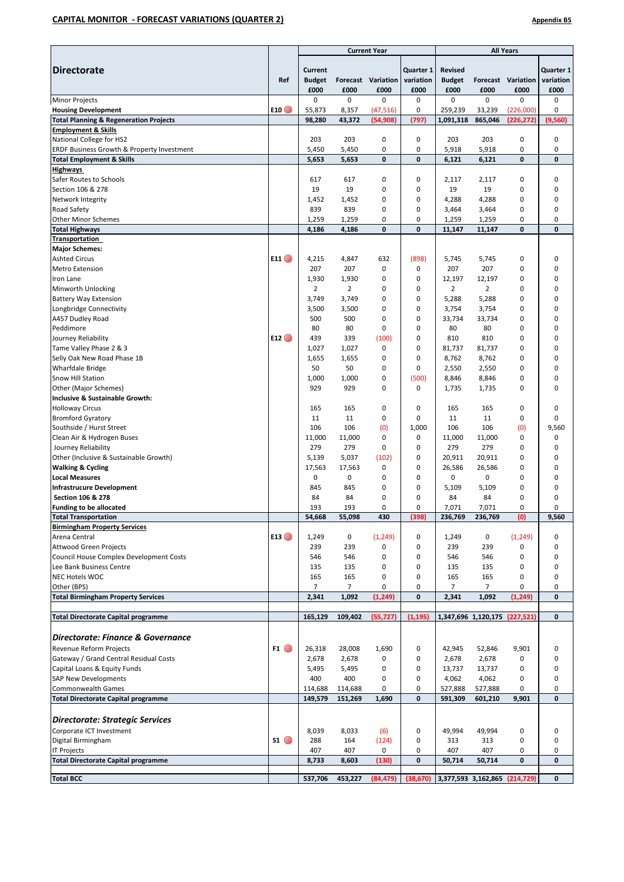#### **CAPITAL MONITOR - FORECAST VARIATIONS (QUARTER 2) Appendix B5**

|                                                                   |                         | <b>Current Year</b>              |                         |                            |                                | <b>All Years</b>                        |                 |                               |                                |
|-------------------------------------------------------------------|-------------------------|----------------------------------|-------------------------|----------------------------|--------------------------------|-----------------------------------------|-----------------|-------------------------------|--------------------------------|
| <b>Directorate</b>                                                | Ref                     | Current<br><b>Budget</b><br>£000 | £000                    | Forecast Variation<br>£000 | Quarter 1<br>variation<br>£000 | <b>Revised</b><br><b>Budget</b><br>£000 | £000            | Forecast Variation<br>£000    | Quarter 1<br>variation<br>£000 |
| <b>Minor Projects</b>                                             |                         | 0                                | $\mathbf 0$             | 0                          | 0                              | 0                                       | $\mathbf 0$     | 0                             | 0                              |
| <b>Housing Development</b>                                        | E10                     | 55,873                           | 8,357                   | (47, 516)                  | 0                              | 259,239                                 | 33,239          | (226,000)                     | 0                              |
| <b>Total Planning &amp; Regeneration Projects</b>                 |                         | 98,280                           | 43,372                  | (54,908)                   | (797)                          | 1,091,318                               | 865,046         | (226, 272)                    | (9,560)                        |
| <b>Employment &amp; Skills</b>                                    |                         |                                  |                         |                            |                                |                                         |                 |                               |                                |
| National College for HS2                                          |                         | 203                              | 203                     | 0                          | 0                              | 203                                     | 203             | 0                             | 0                              |
| ERDF Business Growth & Property Investment                        |                         | 5,450                            | 5,450                   | 0                          | 0                              | 5,918                                   | 5,918           | 0                             | 0                              |
| <b>Total Employment &amp; Skills</b>                              |                         | 5,653                            | 5,653                   | 0                          | 0                              | 6,121                                   | 6,121           | $\mathbf{0}$                  | 0                              |
| <b>Highways</b><br>Safer Routes to Schools                        |                         | 617                              | 617                     | 0                          | 0                              | 2,117                                   | 2,117           | 0                             | 0                              |
| Section 106 & 278                                                 |                         | 19                               | 19                      | $\mathbf 0$                | $\mathbf 0$                    | 19                                      | 19              | 0                             | 0                              |
| Network Integrity                                                 |                         | 1,452                            | 1,452                   | 0                          | 0                              | 4,288                                   | 4,288           | 0                             | 0                              |
| Road Safety                                                       |                         | 839                              | 839                     | 0                          | 0                              | 3,464                                   | 3,464           | 0                             | 0                              |
| <b>Other Minor Schemes</b>                                        |                         | 1,259                            | 1,259                   | 0                          | 0                              | 1,259                                   | 1,259           | 0                             | 0                              |
| <b>Total Highways</b>                                             |                         | 4,186                            | 4,186                   | $\bf{0}$                   | 0                              | 11,147                                  | 11,147          | 0                             | 0                              |
| Transportation                                                    |                         |                                  |                         |                            |                                |                                         |                 |                               |                                |
| <b>Major Schemes:</b>                                             |                         |                                  |                         |                            |                                |                                         |                 |                               |                                |
| <b>Ashted Circus</b>                                              | E11 $\bigcirc$          | 4,215                            | 4,847                   | 632                        | (898)                          | 5,745                                   | 5,745           | 0                             | 0                              |
| <b>Metro Extension</b>                                            |                         | 207                              | 207                     | 0                          | 0                              | 207                                     | 207             | 0                             | 0                              |
| Iron Lane<br>Minworth Unlocking                                   |                         | 1,930<br>2                       | 1,930<br>$\overline{2}$ | 0<br>0                     | 0<br>0                         | 12,197<br>$\overline{2}$                | 12,197<br>2     | 0<br>0                        | 0<br>0                         |
| <b>Battery Way Extension</b>                                      |                         | 3,749                            | 3,749                   | 0                          | 0                              | 5,288                                   | 5,288           | 0                             | 0                              |
| Longbridge Connectivity                                           |                         | 3,500                            | 3,500                   | $\mathbf 0$                | 0                              | 3,754                                   | 3,754           | 0                             | 0                              |
| A457 Dudley Road                                                  |                         | 500                              | 500                     | 0                          | 0                              | 33,734                                  | 33,734          | 0                             | 0                              |
| Peddimore                                                         |                         | 80                               | 80                      | 0                          | 0                              | 80                                      | 80              | 0                             | 0                              |
| Journey Reliability                                               | E12                     | 439                              | 339                     | (100)                      | 0                              | 810                                     | 810             | 0                             | 0                              |
| Tame Valley Phase 2 & 3                                           |                         | 1,027                            | 1,027                   | 0                          | 0                              | 81,737                                  | 81,737          | 0                             | 0                              |
| Selly Oak New Road Phase 1B                                       |                         | 1,655                            | 1,655                   | 0                          | 0                              | 8,762                                   | 8,762           | 0                             | 0                              |
| <b>Wharfdale Bridge</b>                                           |                         | 50                               | 50                      | $\mathbf 0$                | 0                              | 2,550                                   | 2,550           | 0                             | 0                              |
| Snow Hill Station                                                 |                         | 1,000                            | 1,000                   | 0                          | (500)                          | 8,846                                   | 8,846           | 0                             | 0                              |
| Other (Major Schemes)                                             |                         | 929                              | 929                     | 0                          | 0                              | 1,735                                   | 1,735           | 0                             | 0                              |
| Inclusive & Sustainable Growth:<br><b>Holloway Circus</b>         |                         | 165                              | 165                     | 0                          | 0                              | 165                                     | 165             | 0                             | 0                              |
| <b>Bromford Gyratory</b>                                          |                         | 11                               | 11                      | 0                          | 0                              | 11                                      | 11              | 0                             | 0                              |
| Southside / Hurst Street                                          |                         | 106                              | 106                     | (0)                        | 1,000                          | 106                                     | 106             | (0)                           | 9,560                          |
| Clean Air & Hydrogen Buses                                        |                         | 11,000                           | 11,000                  | $\mathbf 0$                | 0                              | 11,000                                  | 11,000          | 0                             | 0                              |
| Journey Reliability                                               |                         | 279                              | 279                     | 0                          | 0                              | 279                                     | 279             | 0                             | 0                              |
| Other (Inclusive & Sustainable Growth)                            |                         | 5,139                            | 5,037                   | (102)                      | 0                              | 20,911                                  | 20,911          | 0                             | 0                              |
| <b>Walking &amp; Cycling</b>                                      |                         | 17,563                           | 17,563                  | 0                          | 0                              | 26,586                                  | 26,586          | 0                             | 0                              |
| <b>Local Measures</b>                                             |                         | 0                                | 0                       | 0                          | 0                              | 0                                       | 0               | 0                             | 0                              |
| <b>Infrastrucure Development</b>                                  |                         | 845                              | 845                     | 0                          | 0                              | 5,109                                   | 5,109           | 0                             | 0                              |
| <b>Section 106 &amp; 278</b>                                      |                         | 84                               | 84                      | 0                          | 0                              | 84                                      | 84              | 0                             | 0                              |
| <b>Funding to be allocated</b><br><b>Total Transportation</b>     |                         | 193                              | 193                     | 0<br>430                   | 0                              | 7,071                                   | 7,071           | 0                             | 0                              |
| <b>Birmingham Property Services</b>                               |                         | 54,668                           | 55,098                  |                            | (398)                          | 236,769                                 | 236,769         | (0)                           | 9,560                          |
| Arena Central                                                     | E13                     | 1,249                            | 0                       | (1, 249)                   | 0                              | 1,249                                   | 0               | (1, 249)                      | 0                              |
| <b>Attwood Green Projects</b>                                     |                         | 239                              | 239                     | 0                          | 0                              | 239                                     | 239             | 0                             | 0                              |
| Council House Complex Development Costs                           |                         | 546                              | 546                     | 0                          | 0                              | 546                                     | 546             | 0                             | 0                              |
| Lee Bank Business Centre                                          |                         | 135                              | 135                     | 0                          | 0                              | 135                                     | 135             | 0                             | 0                              |
| NEC Hotels WOC                                                    |                         | 165                              | 165                     | 0                          | 0                              | 165                                     | 165             | 0                             | 0                              |
| Other (BPS)                                                       |                         | $\overline{7}$                   | $\overline{7}$          | 0                          | 0                              | $\overline{7}$                          | $\overline{7}$  | 0                             | 0                              |
| <b>Total Birmingham Property Services</b>                         |                         | 2,341                            | 1,092                   | (1, 249)                   | 0                              | 2,341                                   | 1,092           | (1, 249)                      | 0                              |
|                                                                   |                         |                                  |                         |                            | (1, 195)                       |                                         |                 |                               | $\mathbf{0}$                   |
| <b>Total Directorate Capital programme</b>                        |                         | 165,129                          | 109,402                 | (55, 727)                  |                                |                                         |                 | 1,347,696 1,120,175 (227,521) |                                |
| Directorate: Finance & Governance                                 |                         |                                  |                         |                            |                                |                                         |                 |                               |                                |
|                                                                   | $F1$ $\bullet$          |                                  |                         |                            |                                |                                         |                 |                               |                                |
| Revenue Reform Projects<br>Gateway / Grand Central Residual Costs |                         | 26,318<br>2,678                  | 28,008<br>2,678         | 1,690<br>0                 | 0<br>0                         | 42,945<br>2,678                         | 52,846<br>2,678 | 9,901<br>0                    | 0<br>0                         |
| Capital Loans & Equity Funds                                      |                         | 5,495                            | 5,495                   | 0                          | 0                              | 13,737                                  | 13,737          | 0                             | 0                              |
| SAP New Developments                                              |                         | 400                              | 400                     | 0                          | 0                              | 4,062                                   | 4,062           | 0                             | 0                              |
| <b>Commonwealth Games</b>                                         |                         | 114,688                          | 114,688                 | 0                          | 0                              | 527,888                                 | 527,888         | 0                             | 0                              |
| <b>Total Directorate Capital programme</b>                        |                         | 149,579                          | 151,269                 | 1,690                      | 0                              | 591,309                                 | 601,210         | 9,901                         | 0                              |
|                                                                   |                         |                                  |                         |                            |                                |                                         |                 |                               |                                |
| <b>Directorate: Strategic Services</b>                            |                         |                                  |                         |                            |                                |                                         |                 |                               |                                |
| Corporate ICT Investment                                          |                         | 8,039                            | 8,033                   | (6)                        | 0                              | 49,994                                  | 49,994          | 0                             | 0                              |
| Digital Birmingham                                                | $\mathsf{S1}$ $\bullet$ | 288                              | 164                     | (124)                      | 0                              | 313                                     | 313             | 0                             | 0                              |
| <b>IT Projects</b>                                                |                         | 407                              | 407                     | 0                          | 0                              | 407                                     | 407             | 0                             | 0                              |
| <b>Total Directorate Capital programme</b>                        |                         | 8,733                            | 8,603                   | (130)                      | 0                              | 50,714                                  | 50,714          | $\mathbf{0}$                  | 0                              |
| <b>Total BCC</b>                                                  |                         | 537,706                          | 453,227                 | (84, 479)                  | (38, 670)                      | 3,377,593 3,162,865 (214,729)           |                 |                               | $\mathbf 0$                    |
|                                                                   |                         |                                  |                         |                            |                                |                                         |                 |                               |                                |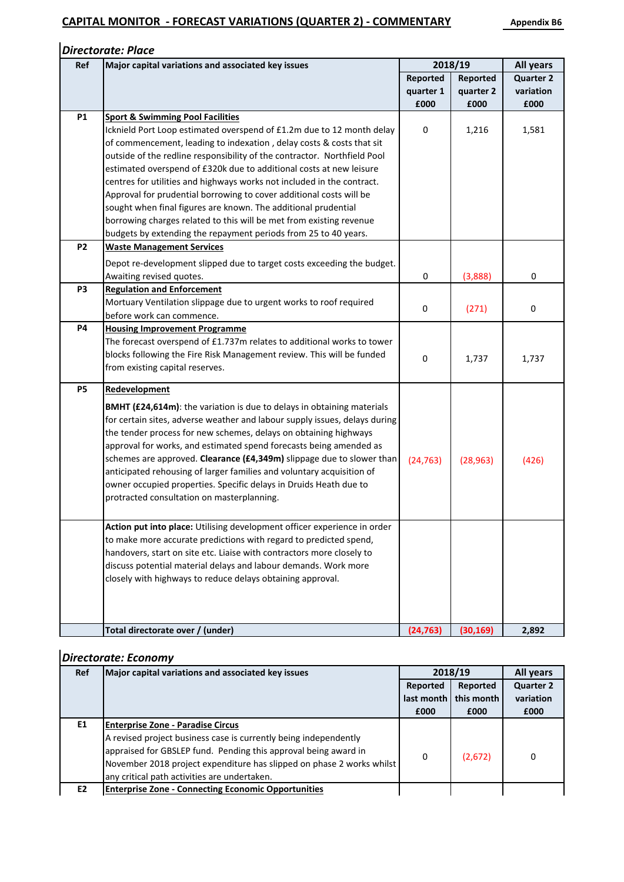|                | <b>Directorate: Place</b>                                                  |             |                  |                  |
|----------------|----------------------------------------------------------------------------|-------------|------------------|------------------|
| Ref            | Major capital variations and associated key issues                         | 2018/19     | <b>All years</b> |                  |
|                |                                                                            | Reported    | Reported         | <b>Quarter 2</b> |
|                |                                                                            | quarter 1   | quarter 2        | variation        |
|                |                                                                            | £000        | £000             | £000             |
| <b>P1</b>      | <b>Sport &amp; Swimming Pool Facilities</b>                                |             |                  |                  |
|                | Icknield Port Loop estimated overspend of £1.2m due to 12 month delay      | $\mathbf 0$ | 1,216            | 1,581            |
|                | of commencement, leading to indexation, delay costs & costs that sit       |             |                  |                  |
|                | outside of the redline responsibility of the contractor. Northfield Pool   |             |                  |                  |
|                | estimated overspend of £320k due to additional costs at new leisure        |             |                  |                  |
|                | centres for utilities and highways works not included in the contract.     |             |                  |                  |
|                | Approval for prudential borrowing to cover additional costs will be        |             |                  |                  |
|                | sought when final figures are known. The additional prudential             |             |                  |                  |
|                | borrowing charges related to this will be met from existing revenue        |             |                  |                  |
|                | budgets by extending the repayment periods from 25 to 40 years.            |             |                  |                  |
| <b>P2</b>      | <b>Waste Management Services</b>                                           |             |                  |                  |
|                | Depot re-development slipped due to target costs exceeding the budget.     |             |                  |                  |
|                | Awaiting revised quotes.                                                   | 0           | (3,888)          | 0                |
| P <sub>3</sub> | <b>Regulation and Enforcement</b>                                          |             |                  |                  |
|                | Mortuary Ventilation slippage due to urgent works to roof required         | 0           | (271)            | $\pmb{0}$        |
|                | before work can commence.                                                  |             |                  |                  |
| <b>P4</b>      | <b>Housing Improvement Programme</b>                                       |             |                  |                  |
|                | The forecast overspend of £1.737m relates to additional works to tower     |             |                  |                  |
|                | blocks following the Fire Risk Management review. This will be funded      | 0           | 1,737            | 1,737            |
|                | from existing capital reserves.                                            |             |                  |                  |
| <b>P5</b>      | Redevelopment                                                              |             |                  |                  |
|                | BMHT (£24,614m): the variation is due to delays in obtaining materials     |             |                  |                  |
|                | for certain sites, adverse weather and labour supply issues, delays during |             |                  |                  |
|                | the tender process for new schemes, delays on obtaining highways           |             |                  |                  |
|                | approval for works, and estimated spend forecasts being amended as         |             |                  |                  |
|                | schemes are approved. Clearance (£4,349m) slippage due to slower than      | (24, 763)   | (28, 963)        | (426)            |
|                | anticipated rehousing of larger families and voluntary acquisition of      |             |                  |                  |
|                | owner occupied properties. Specific delays in Druids Heath due to          |             |                  |                  |
|                | protracted consultation on masterplanning.                                 |             |                  |                  |
|                |                                                                            |             |                  |                  |
|                | Action put into place: Utilising development officer experience in order   |             |                  |                  |
|                | to make more accurate predictions with regard to predicted spend,          |             |                  |                  |
|                | handovers, start on site etc. Liaise with contractors more closely to      |             |                  |                  |
|                | discuss potential material delays and labour demands. Work more            |             |                  |                  |
|                | closely with highways to reduce delays obtaining approval.                 |             |                  |                  |
|                |                                                                            |             |                  |                  |
|                |                                                                            |             |                  |                  |
|                |                                                                            |             |                  |                  |
|                | Total directorate over / (under)                                           | (24, 763)   | (30, 169)        | 2,892            |

### *Directorate: Economy*

| Ref            | Major capital variations and associated key issues                    |            | 2018/19    |                  |  |  |
|----------------|-----------------------------------------------------------------------|------------|------------|------------------|--|--|
|                |                                                                       | Reported   | Reported   | <b>Quarter 2</b> |  |  |
|                |                                                                       | last month | this month | variation        |  |  |
|                |                                                                       | £000       | £000       | £000             |  |  |
| E1             | <b>Enterprise Zone - Paradise Circus</b>                              |            |            |                  |  |  |
|                | A revised project business case is currently being independently      |            |            |                  |  |  |
|                | appraised for GBSLEP fund. Pending this approval being award in       | 0          |            | 0                |  |  |
|                | November 2018 project expenditure has slipped on phase 2 works whilst |            | (2,672)    |                  |  |  |
|                | any critical path activities are undertaken.                          |            |            |                  |  |  |
| E <sub>2</sub> | <b>Enterprise Zone - Connecting Economic Opportunities</b>            |            |            |                  |  |  |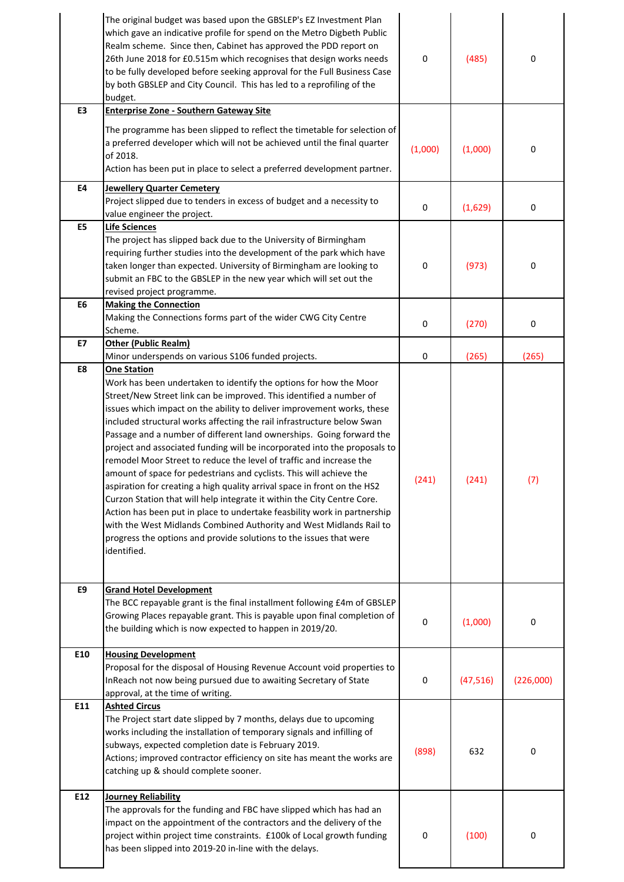|                | The original budget was based upon the GBSLEP's EZ Investment Plan<br>which gave an indicative profile for spend on the Metro Digbeth Public<br>Realm scheme. Since then, Cabinet has approved the PDD report on<br>26th June 2018 for £0.515m which recognises that design works needs<br>to be fully developed before seeking approval for the Full Business Case<br>by both GBSLEP and City Council. This has led to a reprofiling of the<br>budget.                                                                                                                                                                                                                                                                                                                                                                                                                                                                                                                                        | 0           | (485)     | 0                |
|----------------|------------------------------------------------------------------------------------------------------------------------------------------------------------------------------------------------------------------------------------------------------------------------------------------------------------------------------------------------------------------------------------------------------------------------------------------------------------------------------------------------------------------------------------------------------------------------------------------------------------------------------------------------------------------------------------------------------------------------------------------------------------------------------------------------------------------------------------------------------------------------------------------------------------------------------------------------------------------------------------------------|-------------|-----------|------------------|
| E3             | <b>Enterprise Zone - Southern Gateway Site</b>                                                                                                                                                                                                                                                                                                                                                                                                                                                                                                                                                                                                                                                                                                                                                                                                                                                                                                                                                 |             |           |                  |
|                | The programme has been slipped to reflect the timetable for selection of<br>a preferred developer which will not be achieved until the final quarter<br>of 2018.<br>Action has been put in place to select a preferred development partner.                                                                                                                                                                                                                                                                                                                                                                                                                                                                                                                                                                                                                                                                                                                                                    | (1,000)     | (1,000)   | 0                |
| <b>E4</b>      | <b>Jewellery Quarter Cemetery</b><br>Project slipped due to tenders in excess of budget and a necessity to<br>value engineer the project.                                                                                                                                                                                                                                                                                                                                                                                                                                                                                                                                                                                                                                                                                                                                                                                                                                                      | $\pmb{0}$   | (1,629)   | $\boldsymbol{0}$ |
| E5             | <b>Life Sciences</b>                                                                                                                                                                                                                                                                                                                                                                                                                                                                                                                                                                                                                                                                                                                                                                                                                                                                                                                                                                           |             |           |                  |
|                | The project has slipped back due to the University of Birmingham<br>requiring further studies into the development of the park which have<br>taken longer than expected. University of Birmingham are looking to<br>submit an FBC to the GBSLEP in the new year which will set out the<br>revised project programme.                                                                                                                                                                                                                                                                                                                                                                                                                                                                                                                                                                                                                                                                           | 0           | (973)     | 0                |
| E <sub>6</sub> | <b>Making the Connection</b><br>Making the Connections forms part of the wider CWG City Centre<br>Scheme.                                                                                                                                                                                                                                                                                                                                                                                                                                                                                                                                                                                                                                                                                                                                                                                                                                                                                      | 0           | (270)     | 0                |
| E7             | <b>Other (Public Realm)</b>                                                                                                                                                                                                                                                                                                                                                                                                                                                                                                                                                                                                                                                                                                                                                                                                                                                                                                                                                                    |             |           |                  |
| E8             | Minor underspends on various S106 funded projects.<br><b>One Station</b>                                                                                                                                                                                                                                                                                                                                                                                                                                                                                                                                                                                                                                                                                                                                                                                                                                                                                                                       | 0           | (265)     | (265)            |
|                | Work has been undertaken to identify the options for how the Moor<br>Street/New Street link can be improved. This identified a number of<br>issues which impact on the ability to deliver improvement works, these<br>included structural works affecting the rail infrastructure below Swan<br>Passage and a number of different land ownerships. Going forward the<br>project and associated funding will be incorporated into the proposals to<br>remodel Moor Street to reduce the level of traffic and increase the<br>amount of space for pedestrians and cyclists. This will achieve the<br>aspiration for creating a high quality arrival space in front on the HS2<br>Curzon Station that will help integrate it within the City Centre Core.<br>Action has been put in place to undertake feasbility work in partnership<br>with the West Midlands Combined Authority and West Midlands Rail to<br>progress the options and provide solutions to the issues that were<br>identified. | (241)       | (241)     | (7)              |
| E9             | <b>Grand Hotel Development</b><br>The BCC repayable grant is the final installment following £4m of GBSLEP<br>Growing Places repayable grant. This is payable upon final completion of<br>the building which is now expected to happen in 2019/20.                                                                                                                                                                                                                                                                                                                                                                                                                                                                                                                                                                                                                                                                                                                                             | $\mathbf 0$ | (1,000)   | 0                |
| E10            | <b>Housing Development</b><br>Proposal for the disposal of Housing Revenue Account void properties to<br>InReach not now being pursued due to awaiting Secretary of State<br>approval, at the time of writing.                                                                                                                                                                                                                                                                                                                                                                                                                                                                                                                                                                                                                                                                                                                                                                                 | 0           | (47, 516) | (226,000)        |
| E11            | <b>Ashted Circus</b><br>The Project start date slipped by 7 months, delays due to upcoming<br>works including the installation of temporary signals and infilling of<br>subways, expected completion date is February 2019.<br>Actions; improved contractor efficiency on site has meant the works are<br>catching up & should complete sooner.                                                                                                                                                                                                                                                                                                                                                                                                                                                                                                                                                                                                                                                | (898)       | 632       | 0                |
| E12            | Journey Reliability<br>The approvals for the funding and FBC have slipped which has had an<br>impact on the appointment of the contractors and the delivery of the<br>project within project time constraints. £100k of Local growth funding<br>has been slipped into 2019-20 in-line with the delays.                                                                                                                                                                                                                                                                                                                                                                                                                                                                                                                                                                                                                                                                                         | 0           | (100)     | 0                |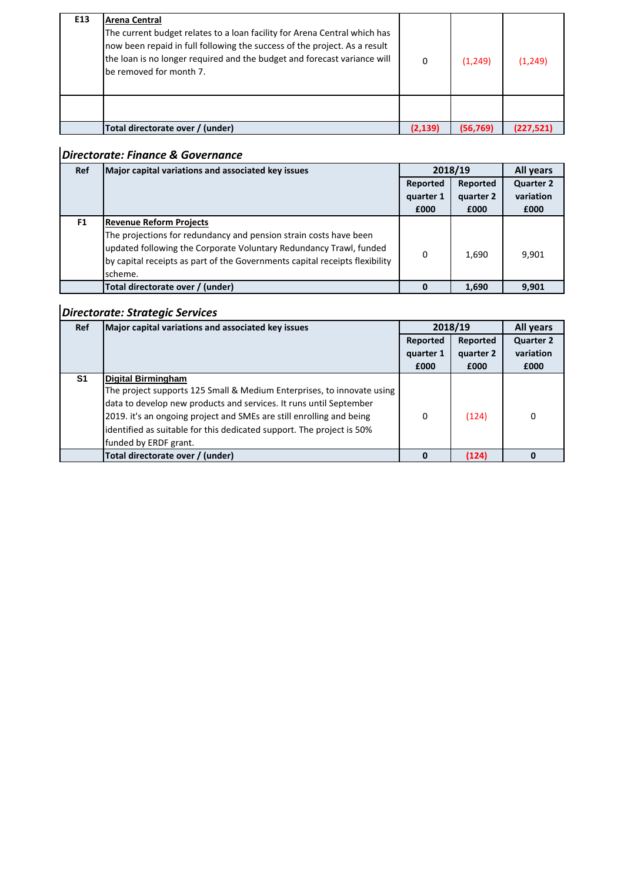| E13 | <b>Arena Central</b><br>The current budget relates to a loan facility for Arena Central which has<br>now been repaid in full following the success of the project. As a result<br>the loan is no longer required and the budget and forecast variance will<br>be removed for month 7. | 0       | (1,249)   | (1, 249)  |
|-----|---------------------------------------------------------------------------------------------------------------------------------------------------------------------------------------------------------------------------------------------------------------------------------------|---------|-----------|-----------|
|     |                                                                                                                                                                                                                                                                                       |         |           |           |
|     | Total directorate over / (under)                                                                                                                                                                                                                                                      | (2.139) | (56, 769) | (227,521) |

### *Directorate: Finance & Governance*

| <b>Ref</b>     | Major capital variations and associated key issues                                                                                                                                                                                | 2018/19   | All years |                  |
|----------------|-----------------------------------------------------------------------------------------------------------------------------------------------------------------------------------------------------------------------------------|-----------|-----------|------------------|
|                |                                                                                                                                                                                                                                   | Reported  | Reported  | <b>Quarter 2</b> |
|                |                                                                                                                                                                                                                                   | quarter 1 | quarter 2 | variation        |
|                |                                                                                                                                                                                                                                   | £000      | £000      | £000             |
| F <sub>1</sub> | <b>Revenue Reform Projects</b>                                                                                                                                                                                                    |           |           |                  |
|                | The projections for redundancy and pension strain costs have been<br>updated following the Corporate Voluntary Redundancy Trawl, funded<br>by capital receipts as part of the Governments capital receipts flexibility<br>scheme. | 0         | 1,690     | 9,901            |
|                | Total directorate over / (under)                                                                                                                                                                                                  | 0         | 1,690     | 9,901            |

### *Directorate: Strategic Services*

| <b>Ref</b>     | Major capital variations and associated key issues                     |           | 2018/19   | All years        |
|----------------|------------------------------------------------------------------------|-----------|-----------|------------------|
|                |                                                                        | Reported  | Reported  | <b>Quarter 2</b> |
|                |                                                                        | quarter 1 | quarter 2 | variation        |
|                |                                                                        | £000      | £000      | £000             |
| S <sub>1</sub> | <b>Digital Birmingham</b>                                              |           |           |                  |
|                | The project supports 125 Small & Medium Enterprises, to innovate using |           |           |                  |
|                | data to develop new products and services. It runs until September     |           |           |                  |
|                | 2019. it's an ongoing project and SMEs are still enrolling and being   | 0         | (124)     | 0                |
|                | identified as suitable for this dedicated support. The project is 50%  |           |           |                  |
|                | funded by ERDF grant.                                                  |           |           |                  |
|                | Total directorate over / (under)                                       | ŋ         | (124)     | n                |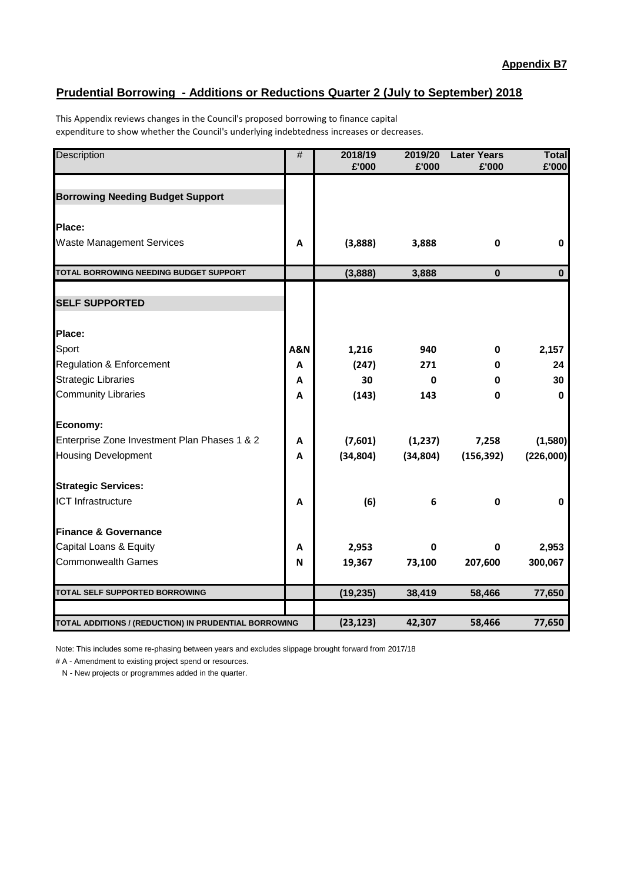### **Prudential Borrowing - Additions or Reductions Quarter 2 (July to September) 2018**

This Appendix reviews changes in the Council's proposed borrowing to finance capital expenditure to show whether the Council's underlying indebtedness increases or decreases.

| Description                                           | #              | 2018/19   | 2019/20      | <b>Later Years</b><br>£'000 | <b>Total</b> |
|-------------------------------------------------------|----------------|-----------|--------------|-----------------------------|--------------|
|                                                       |                | £'000     | £'000        |                             | £'000        |
| <b>Borrowing Needing Budget Support</b>               |                |           |              |                             |              |
| Place:                                                |                |           |              |                             |              |
| <b>Waste Management Services</b>                      | A              | (3,888)   | 3,888        | $\mathbf 0$                 | $\bf{0}$     |
|                                                       |                |           |              |                             |              |
| TOTAL BORROWING NEEDING BUDGET SUPPORT                |                | (3,888)   | 3,888        | $\pmb{0}$                   | $\bf{0}$     |
| <b>SELF SUPPORTED</b>                                 |                |           |              |                             |              |
| Place:                                                |                |           |              |                             |              |
| Sport                                                 | <b>A&amp;N</b> | 1,216     | 940          | 0                           | 2,157        |
| <b>Regulation &amp; Enforcement</b>                   | A              | (247)     | 271          | 0                           | 24           |
| <b>Strategic Libraries</b>                            | A              | 30        | $\mathbf 0$  | 0                           | 30           |
| <b>Community Libraries</b>                            | A              | (143)     | 143          | $\mathbf 0$                 | $\bf{0}$     |
| Economy:                                              |                |           |              |                             |              |
| Enterprise Zone Investment Plan Phases 1 & 2          | A              | (7,601)   | (1,237)      | 7,258                       | (1,580)      |
| <b>Housing Development</b>                            | A              | (34, 804) | (34, 804)    | (156, 392)                  | (226,000)    |
| <b>Strategic Services:</b>                            |                |           |              |                             |              |
| <b>ICT Infrastructure</b>                             | A              | (6)       | 6            | $\mathbf 0$                 | 0            |
| <b>Finance &amp; Governance</b>                       |                |           |              |                             |              |
| Capital Loans & Equity                                | A              | 2,953     | $\mathbf{0}$ | 0                           | 2,953        |
| <b>Commonwealth Games</b>                             | N              | 19,367    | 73,100       | 207,600                     | 300,067      |
| <b>TOTAL SELF SUPPORTED BORROWING</b>                 |                | (19, 235) | 38,419       | 58,466                      | 77,650       |
| TOTAL ADDITIONS / (REDUCTION) IN PRUDENTIAL BORROWING |                | (23, 123) | 42,307       | 58,466                      | 77,650       |

Note: This includes some re-phasing between years and excludes slippage brought forward from 2017/18

# A - Amendment to existing project spend or resources.

N - New projects or programmes added in the quarter.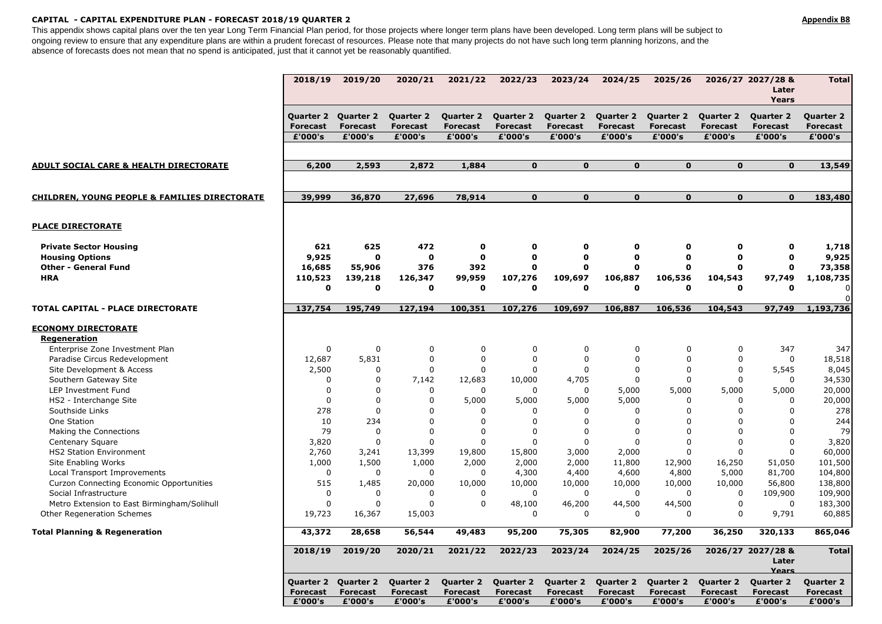#### **CAPITAL - CAPITAL EXPENDITURE PLAN - FORECAST 2018/19 QUARTER 2 Appendix B8**

This appendix shows capital plans over the ten year Long Term Financial Plan period, for those projects where longer term plans have been developed. Long term plans will be subject to ongoing review to ensure that any expenditure plans are within a prudent forecast of resources. Please note that many projects do not have such long term planning horizons, and the absence of forecasts does not mean that no spend is anticipated, just that it cannot yet be reasonably quantified.

|                                                          | 2018/19                                 | 2019/20                                        | 2020/21                                        | 2021/22                                        | 2022/23                                 | 2023/24                                        | 2024/25                                           | 2025/26                                 |                                                | 2026/27 2027/28 &<br>Later<br>Years            | <b>Total</b>                                   |
|----------------------------------------------------------|-----------------------------------------|------------------------------------------------|------------------------------------------------|------------------------------------------------|-----------------------------------------|------------------------------------------------|---------------------------------------------------|-----------------------------------------|------------------------------------------------|------------------------------------------------|------------------------------------------------|
|                                                          | Quarter 2<br><b>Forecast</b><br>£'000's | <b>Quarter 2</b><br><b>Forecast</b><br>£'000's | <b>Quarter 2</b><br><b>Forecast</b><br>£'000's | <b>Quarter 2</b><br><b>Forecast</b><br>£'000's | Quarter 2<br><b>Forecast</b><br>£'000's | <b>Quarter 2</b><br><b>Forecast</b><br>£'000's | Quarter 2 Quarter 2<br><b>Forecast</b><br>£'000's | <b>Forecast</b><br>£'000's              | <b>Quarter 2</b><br><b>Forecast</b><br>£'000's | <b>Quarter 2</b><br><b>Forecast</b><br>£'000's | <b>Quarter 2</b><br><b>Forecast</b><br>£'000's |
|                                                          |                                         |                                                |                                                |                                                |                                         |                                                |                                                   |                                         |                                                |                                                |                                                |
|                                                          |                                         |                                                |                                                |                                                |                                         |                                                |                                                   |                                         |                                                |                                                |                                                |
| <b>ADULT SOCIAL CARE &amp; HEALTH DIRECTORATE</b>        | 6,200                                   | 2,593                                          | 2,872                                          | 1,884                                          | $\mathbf{0}$                            | $\mathbf{0}$                                   | $\mathbf{0}$                                      | $\mathbf{0}$                            | $\mathbf{0}$                                   | $\mathbf{0}$                                   | 13,549                                         |
| <b>CHILDREN, YOUNG PEOPLE &amp; FAMILIES DIRECTORATE</b> | 39,999                                  | 36,870                                         | 27,696                                         | 78,914                                         | $\mathbf{o}$                            | $\mathbf{o}$                                   | $\mathbf{0}$                                      | $\mathbf{0}$                            | $\mathbf{0}$                                   | $\mathbf{0}$                                   | 183,480                                        |
| <b>PLACE DIRECTORATE</b>                                 |                                         |                                                |                                                |                                                |                                         |                                                |                                                   |                                         |                                                |                                                |                                                |
| <b>Private Sector Housing</b>                            | 621                                     | 625                                            | 472                                            | $\mathbf 0$                                    | 0                                       | 0                                              | 0                                                 | 0                                       | $\mathbf 0$                                    | O                                              | 1,718                                          |
| <b>Housing Options</b>                                   | 9,925                                   | $\mathbf 0$                                    | $\mathbf 0$                                    | $\mathbf{o}$                                   | $\mathbf o$                             | $\mathbf 0$                                    | $\mathbf{o}$                                      | $\mathbf 0$                             | $\mathbf 0$                                    | $\mathbf{o}$                                   | 9,925                                          |
| <b>Other - General Fund</b>                              | 16,685                                  | 55,906                                         | 376                                            | 392                                            | O                                       | 0                                              | $\mathbf 0$                                       | U                                       | 0                                              | $\mathbf 0$                                    | 73,358                                         |
| <b>HRA</b>                                               | 110,523                                 | 139,218                                        | 126,347                                        | 99,959                                         | 107,276                                 | 109,697                                        | 106,887                                           | 106,536                                 | 104,543                                        | 97,749                                         | 1,108,735                                      |
|                                                          | $\mathbf 0$                             | $\mathbf 0$                                    | 0                                              | $\mathbf 0$                                    | O                                       | $\mathbf{0}$                                   | 0                                                 | $\Omega$                                | $\mathbf{o}$                                   | $\mathbf{0}$                                   | 0                                              |
| TOTAL CAPITAL - PLACE DIRECTORATE                        | 137,754                                 | 195,749                                        | 127,194                                        | 100,351                                        | 107,276                                 | 109,697                                        | 106,887                                           | 106,536                                 | 104,543                                        | 97,749                                         | $\Omega$<br>1,193,736                          |
| <b>ECONOMY DIRECTORATE</b><br>Regeneration               |                                         |                                                |                                                |                                                |                                         |                                                |                                                   |                                         |                                                |                                                |                                                |
| Enterprise Zone Investment Plan                          | $\Omega$                                | $\mathbf 0$                                    | 0                                              | $\mathbf 0$                                    | 0                                       | $\mathbf 0$                                    | $\mathbf 0$                                       | $\mathbf 0$                             | 0                                              | 347                                            | 347                                            |
| Paradise Circus Redevelopment                            | 12,687                                  | 5,831                                          | $\boldsymbol{0}$                               | $\mathbf 0$                                    | $\mathbf 0$                             | $\mathbf 0$                                    | $\mathbf 0$                                       | $\Omega$                                | 0                                              | $\mathbf 0$                                    | 18,518                                         |
| Site Development & Access                                | 2,500                                   | $\mathbf 0$                                    | $\mathbf 0$                                    | $\mathbf 0$                                    | $\mathbf 0$                             | $\Omega$                                       | $\Omega$                                          | $\Omega$                                | 0                                              | 5,545                                          | 8,045                                          |
| Southern Gateway Site                                    | $\mathbf 0$                             | $\mathbf 0$                                    | 7,142                                          | 12,683                                         | 10,000                                  | 4,705                                          | $\mathbf 0$                                       | $\mathbf 0$                             | 0                                              | $\mathbf 0$                                    | 34,530                                         |
| LEP Investment Fund                                      | $\Omega$                                | $\Omega$                                       | $\mathbf 0$                                    | $\Omega$                                       | $\Omega$                                | $\Omega$                                       | 5,000                                             | 5,000                                   | 5,000                                          | 5,000                                          | 20,000                                         |
| HS2 - Interchange Site                                   | $\Omega$                                | $\Omega$                                       | $\Omega$                                       | 5,000                                          | 5,000                                   | 5,000                                          | 5,000                                             | $\Omega$                                | 0                                              | $\Omega$                                       | 20,000                                         |
| Southside Links                                          | 278                                     | $\Omega$                                       | $\Omega$                                       | $\Omega$                                       | $\Omega$                                | $\Omega$                                       | $\Omega$                                          | $\Omega$                                | $\Omega$                                       | $\Omega$                                       | 278                                            |
| One Station                                              | 10                                      | 234                                            | $\Omega$                                       | $\Omega$                                       | $\Omega$                                | $\Omega$                                       | $\Omega$                                          | $\Omega$                                | $\Omega$                                       | $\Omega$                                       | 244                                            |
| Making the Connections                                   | 79                                      | $\mathbf 0$                                    | $\mathbf 0$                                    | $\mathbf 0$                                    | $\mathbf 0$                             | $\mathbf 0$                                    | $\mathbf 0$                                       | $\Omega$                                | 0                                              | $\Omega$                                       | 79                                             |
| Centenary Square                                         | 3,820                                   | $\mathbf 0$                                    | $\Omega$                                       | $\Omega$                                       | $\Omega$                                | $\Omega$                                       | $\Omega$                                          | $\Omega$                                | 0                                              | $\Omega$                                       | 3,820                                          |
| <b>HS2 Station Environment</b>                           | 2,760                                   | 3,241                                          | 13,399                                         | 19,800                                         | 15,800                                  | 3,000                                          | 2,000                                             | $\Omega$                                | $\Omega$                                       | $\mathbf 0$                                    | 60,000                                         |
| Site Enabling Works                                      | 1,000                                   | 1,500                                          | 1,000                                          | 2,000                                          | 2,000                                   | 2,000                                          | 11,800                                            | 12,900                                  | 16,250                                         | 51,050                                         | 101,500                                        |
| Local Transport Improvements                             | $\mathbf 0$                             | $\mathbf 0$                                    | $\mathbf 0$                                    | $\mathbf 0$                                    | 4,300                                   | 4,400                                          | 4,600                                             | 4,800                                   | 5,000                                          | 81,700                                         | 104,800                                        |
| Curzon Connecting Economic Opportunities                 | 515                                     | 1,485                                          | 20,000                                         | 10,000                                         | 10,000                                  | 10,000                                         | 10,000                                            | 10,000                                  | 10,000                                         | 56,800                                         | 138,800                                        |
| Social Infrastructure                                    | $\mathbf 0$                             | $\Omega$                                       | $\mathbf 0$                                    | $\mathbf 0$                                    | $\mathbf 0$                             | $\mathbf 0$                                    | $\mathbf 0$                                       | $\Omega$                                | 0                                              | 109,900                                        | 109,900                                        |
| Metro Extension to East Birmingham/Solihull              | $\Omega$                                | $\Omega$                                       | $\Omega$                                       | $\Omega$                                       | 48,100                                  | 46,200                                         | 44,500                                            | 44,500                                  | 0                                              | $\Omega$                                       | 183,300                                        |
| Other Regeneration Schemes                               | 19,723                                  | 16,367                                         | 15,003                                         |                                                | $\mathbf 0$                             | $\mathbf 0$                                    | $\mathbf 0$                                       | $\Omega$                                | 0                                              | 9,791                                          | 60,885                                         |
| <b>Total Planning &amp; Regeneration</b>                 | 43,372                                  | 28,658                                         | 56,544                                         | 49,483                                         | 95,200                                  | 75,305                                         | 82,900                                            | 77,200                                  | 36,250                                         | 320,133                                        | 865,046                                        |
|                                                          | 2018/19                                 | 2019/20                                        | 2020/21                                        | 2021/22                                        | 2022/23                                 | 2023/24                                        | 2024/25                                           | 2025/26                                 |                                                | 2026/27 2027/28 &<br>Later<br><b>Years</b>     | <b>Total</b>                                   |
|                                                          | Quarter 2<br><b>Forecast</b><br>£'000's | <b>Quarter 2</b><br><b>Forecast</b><br>£'000's | Quarter 2<br><b>Forecast</b><br>£'000's        | Quarter 2<br><b>Forecast</b><br>£'000's        | Quarter 2<br><b>Forecast</b><br>£'000's | Quarter 2<br><b>Forecast</b><br>£'000's        | Quarter 2<br><b>Forecast</b><br>£'000's           | Quarter 2<br><b>Forecast</b><br>£'000's | <b>Quarter 2</b><br><b>Forecast</b><br>£'000's | <b>Quarter 2</b><br><b>Forecast</b><br>£'000's | <b>Quarter 2</b><br><b>Forecast</b><br>£'000's |